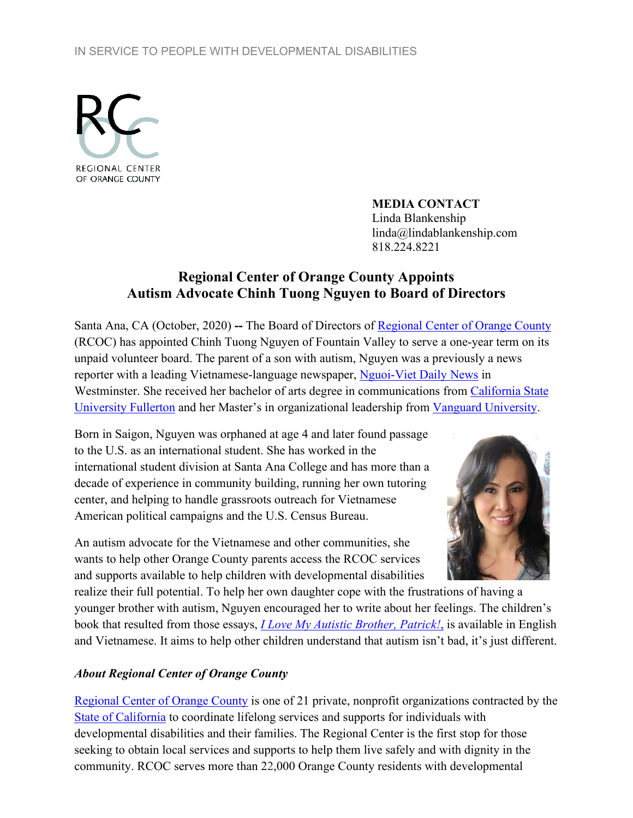## IN SERVICE TO PEOPLE WITH DEVELOPMENTAL DISABILITIES



**MEDIA CONTACT** Linda Blankenship linda@lindablankenship.com 818.224.8221

## **Regional Center of Orange County Appoints Autism Advocate Chinh Tuong Nguyen to Board of Directors**

Santa Ana, CA (October, 2020) **--** The Board of Directors of [Regional Center of Orange County](http://www.rcocdd.com/) (RCOC) has appointed Chinh Tuong Nguyen of Fountain Valley to serve a one-year term on its unpaid volunteer board. The parent of a son with autism, Nguyen was a previously a news reporter with a leading Vietnamese-language newspaper, [Nguoi-Viet Daily News](https://www.nguoi-viet.com/) in Westminster. She received her bachelor of arts degree in communications from California State [University Fullerton](https://communications.fullerton.edu/) and her Master's in organizational leadership from Vanguard [University.](https://www.vanguard.edu/academics/academic-programs/graduate/leadership-studies)

Born in Saigon, Nguyen was orphaned at age 4 and later found passage to the U.S. as an international student. She has worked in the international student division at Santa Ana College and has more than a decade of experience in community building, running her own tutoring center, and helping to handle grassroots outreach for Vietnamese American political campaigns and the U.S. Census Bureau.

An autism advocate for the Vietnamese and other communities, she wants to help other Orange County parents access the RCOC services and supports available to help children with developmental disabilities



realize their full potential. To help her own daughter cope with the frustrations of having a younger brother with autism, Nguyen encouraged her to write about her feelings. The children's book that resulted from those essays, *[I Love My Autistic Brother, Patrick!](https://www.amazon.com/Love-My-Autistic-Brother-PATRICK/dp/1629885010)*, is available in English and Vietnamese. It aims to help other children understand that autism isn't bad, it's just different.

## *About Regional Center of Orange County*

[Regional Center of Orange County](http://www.rcocdd.com/) is one of 21 private, nonprofit organizations contracted by the [State of California](https://www.dds.ca.gov/) to coordinate lifelong services and supports for individuals with developmental disabilities and their families. The Regional Center is the first stop for those seeking to obtain local services and supports to help them live safely and with dignity in the community. RCOC serves more than 22,000 Orange County residents with developmental